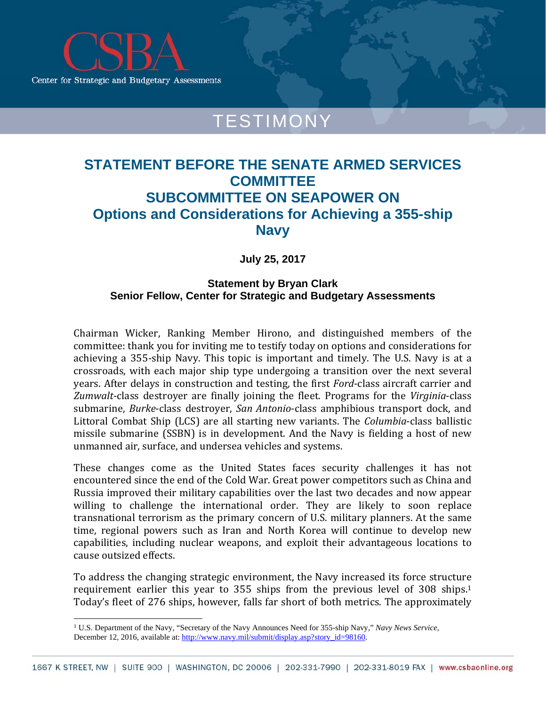

# TESTIMONY

## **STATEMENT BEFORE THE SENATE ARMED SERVICES COMMITTEE SUBCOMMITTEE ON SEAPOWER ON Options and Considerations for Achieving a 355-ship Navy**

**July 25, 2017** 

### **Statement by Bryan Clark Senior Fellow, Center for Strategic and Budgetary Assessments**

Chairman Wicker, Ranking Member Hirono, and distinguished members of the committee: thank you for inviting me to testify today on options and considerations for achieving a 355-ship Navy. This topic is important and timely. The U.S. Navy is at a crossroads, with each major ship type undergoing a transition over the next several years. After delays in construction and testing, the first *Ford*-class aircraft carrier and Zumwalt-class destroyer are finally joining the fleet. Programs for the *Virginia*-class submarine, *Burke*-class destroyer, *San Antonio*-class amphibious transport dock, and Littoral Combat Ship (LCS) are all starting new variants. The *Columbia*-class ballistic missile submarine (SSBN) is in development. And the Navy is fielding a host of new unmanned air, surface, and undersea vehicles and systems.

These changes come as the United States faces security challenges it has not encountered since the end of the Cold War. Great power competitors such as China and Russia improved their military capabilities over the last two decades and now appear willing to challenge the international order. They are likely to soon replace transnational terrorism as the primary concern of U.S. military planners. At the same time, regional powers such as Iran and North Korea will continue to develop new capabilities, including nuclear weapons, and exploit their advantageous locations to cause outsized effects.

To address the changing strategic environment, the Navy increased its force structure requirement earlier this year to  $355$  ships from the previous level of  $308$  ships.<sup>1</sup> Today's fleet of 276 ships, however, falls far short of both metrics. The approximately

 

<sup>1</sup> U.S. Department of the Navy, "Secretary of the Navy Announces Need for 355-ship Navy," *Navy News Service,*  December 12, 2016, available at: http://www.navy.mil/submit/display.asp?story\_id=98160.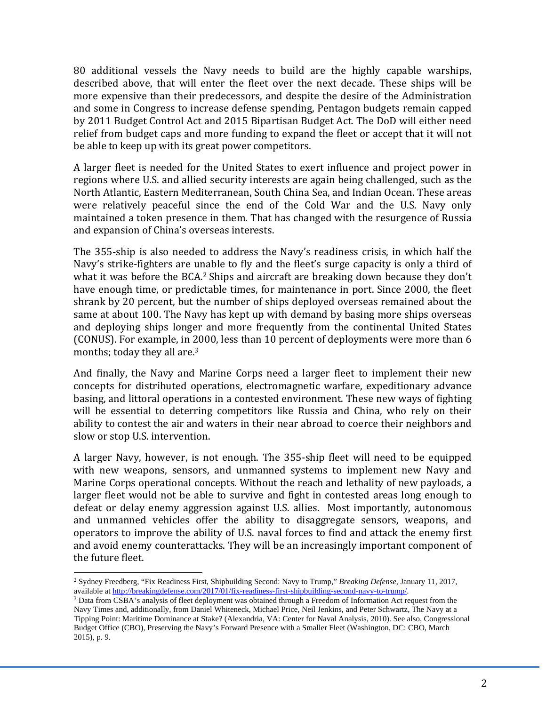80 additional vessels the Navy needs to build are the highly capable warships, described above, that will enter the fleet over the next decade. These ships will be more expensive than their predecessors, and despite the desire of the Administration and some in Congress to increase defense spending, Pentagon budgets remain capped by 2011 Budget Control Act and 2015 Bipartisan Budget Act. The DoD will either need relief from budget caps and more funding to expand the fleet or accept that it will not be able to keep up with its great power competitors.

A larger fleet is needed for the United States to exert influence and project power in regions where U.S. and allied security interests are again being challenged, such as the North Atlantic, Eastern Mediterranean, South China Sea, and Indian Ocean. These areas were relatively peaceful since the end of the Cold War and the U.S. Navy only maintained a token presence in them. That has changed with the resurgence of Russia and expansion of China's overseas interests.

The 355-ship is also needed to address the Navy's readiness crisis, in which half the Navy's strike-fighters are unable to fly and the fleet's surge capacity is only a third of what it was before the BCA.<sup>2</sup> Ships and aircraft are breaking down because they don't have enough time, or predictable times, for maintenance in port. Since 2000, the fleet shrank by 20 percent, but the number of ships deployed overseas remained about the same at about 100. The Navy has kept up with demand by basing more ships overseas and deploying ships longer and more frequently from the continental United States (CONUS). For example, in 2000, less than 10 percent of deployments were more than 6 months; today they all are. $3$ 

And finally, the Navy and Marine Corps need a larger fleet to implement their new concepts for distributed operations, electromagnetic warfare, expeditionary advance basing, and littoral operations in a contested environment. These new ways of fighting will be essential to deterring competitors like Russia and China, who rely on their ability to contest the air and waters in their near abroad to coerce their neighbors and slow or stop U.S. intervention.

A larger Navy, however, is not enough. The 355-ship fleet will need to be equipped with new weapons, sensors, and unmanned systems to implement new Navy and Marine Corps operational concepts. Without the reach and lethality of new payloads, a larger fleet would not be able to survive and fight in contested areas long enough to defeat or delay enemy aggression against U.S. allies. Most importantly, autonomous and unmanned vehicles offer the ability to disaggregate sensors, weapons, and operators to improve the ability of U.S. naval forces to find and attack the enemy first and avoid enemy counterattacks. They will be an increasingly important component of the future fleet.

 2 Sydney Freedberg, "Fix Readiness First, Shipbuilding Second: Navy to Trump," *Breaking Defense*, January 11, 2017, available at http://breakingdefense.com/2017/01/fix-readiness-first-shipbuilding-second-navy-to-trump/.<br><sup>3</sup> Data from CSBA's analysis of fleet deployment was obtained through a Freedom of Information Act request from the

Navy Times and, additionally, from Daniel Whiteneck, Michael Price, Neil Jenkins, and Peter Schwartz, The Navy at a Tipping Point: Maritime Dominance at Stake? (Alexandria, VA: Center for Naval Analysis, 2010). See also, Congressional Budget Office (CBO), Preserving the Navy's Forward Presence with a Smaller Fleet (Washington, DC: CBO, March 2015), p. 9.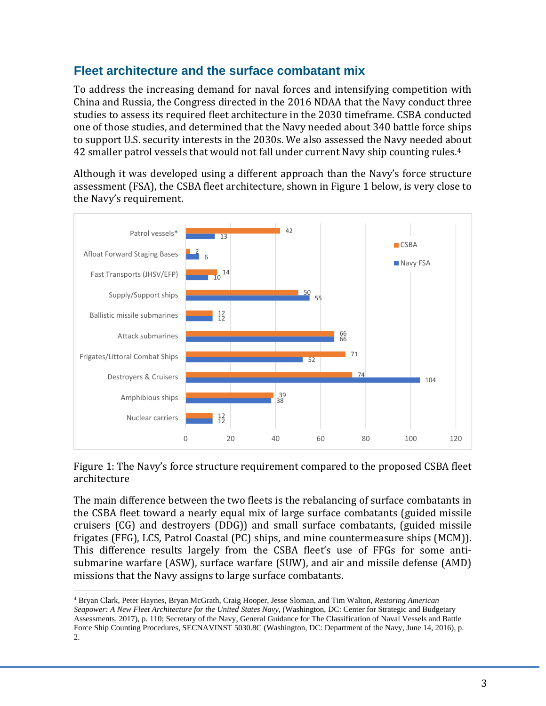### **Fleet architecture and the surface combatant mix**

To address the increasing demand for naval forces and intensifying competition with China and Russia, the Congress directed in the 2016 NDAA that the Navy conduct three studies to assess its required fleet architecture in the 2030 timeframe. CSBA conducted one of those studies, and determined that the Navy needed about 340 battle force ships to support U.S. security interests in the 2030s. We also assessed the Navy needed about 42 smaller patrol vessels that would not fall under current Navy ship counting rules.<sup>4</sup>

Although it was developed using a different approach than the Navy's force structure assessment (FSA), the CSBA fleet architecture, shown in Figure 1 below, is very close to the Navy's requirement.



Figure 1: The Navy's force structure requirement compared to the proposed CSBA fleet architecture 

The main difference between the two fleets is the rebalancing of surface combatants in the CSBA fleet toward a nearly equal mix of large surface combatants (guided missile cruisers  $(CG)$  and destroyers  $(DDG)$  and small surface combatants, (guided missile frigates  $(FFG)$ , LCS, Patrol Coastal  $(PC)$  ships, and mine countermeasure ships  $(MCM)$ . This difference results largely from the CSBA fleet's use of FFGs for some antisubmarine warfare (ASW), surface warfare (SUW), and air and missile defense (AMD) missions that the Navy assigns to large surface combatants.

4 Bryan Clark, Peter Haynes, Bryan McGrath, Craig Hooper, Jesse Sloman, and Tim Walton, *Restoring American Seapower: A New Fleet Architecture for the United States Navy,* (Washington, DC: Center for Strategic and Budgetary Assessments, 2017), p. 110; Secretary of the Navy, General Guidance for The Classification of Naval Vessels and Battle Force Ship Counting Procedures, SECNAVINST 5030.8C (Washington, DC: Department of the Navy, June 14, 2016), p. 2.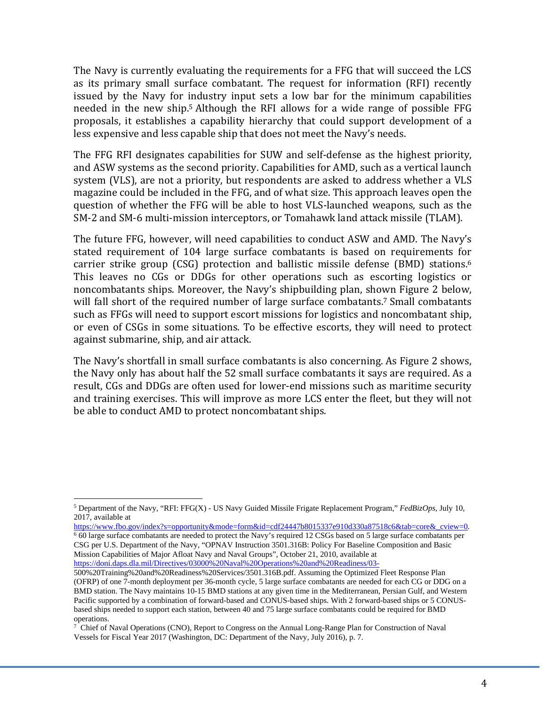The Navy is currently evaluating the requirements for a FFG that will succeed the LCS as its primary small surface combatant. The request for information (RFI) recently issued by the Navy for industry input sets a low bar for the minimum capabilities needed in the new ship.<sup>5</sup> Although the RFI allows for a wide range of possible FFG proposals, it establishes a capability hierarchy that could support development of a less expensive and less capable ship that does not meet the Navy's needs.

The FFG RFI designates capabilities for SUW and self-defense as the highest priority, and ASW systems as the second priority. Capabilities for AMD, such as a vertical launch system (VLS), are not a priority, but respondents are asked to address whether a VLS magazine could be included in the FFG, and of what size. This approach leaves open the question of whether the FFG will be able to host VLS-launched weapons, such as the SM-2 and SM-6 multi-mission interceptors, or Tomahawk land attack missile (TLAM).

The future FFG, however, will need capabilities to conduct ASW and AMD. The Navy's stated requirement of 104 large surface combatants is based on requirements for carrier strike group  $(CSG)$  protection and ballistic missile defense  $(BMD)$  stations.<sup>6</sup> This leaves no CGs or DDGs for other operations such as escorting logistics or noncombatants ships. Moreover, the Navy's shipbuilding plan, shown Figure 2 below, will fall short of the required number of large surface combatants.<sup>7</sup> Small combatants such as FFGs will need to support escort missions for logistics and noncombatant ship, or even of CSGs in some situations. To be effective escorts, they will need to protect against submarine, ship, and air attack.

The Navy's shortfall in small surface combatants is also concerning. As Figure 2 shows, the Navy only has about half the 52 small surface combatants it says are required. As a result, CGs and DDGs are often used for lower-end missions such as maritime security and training exercises. This will improve as more LCS enter the fleet, but they will not be able to conduct AMD to protect noncombatant ships.

 

 $\frac{6}{6}$  60 large surface combatants are needed to protect the Navy's required 12 CSGs based on 5 large surface combatants per CSG per U.S. Department of the Navy, "OPNAV Instruction 3501.316B: Policy For Baseline Composition and Basic Mission Capabilities of Major Afloat Navy and Naval Groups", October 21, 2010, available at https://doni.daps.dla.mil/Directives/03000%20Naval%20Operations%20and%20Readiness/03-

<sup>5</sup> Department of the Navy, "RFI: FFG(X) - US Navy Guided Missile Frigate Replacement Program," *FedBizOps*, July 10, 2017, available at<br>https://www.fbo.gov/index?s=opportunity&mode=form&id=cdf24447b8015337e910d330a87518c6&tab=core& cview=0.

<sup>500%20</sup>Training%20and%20Readiness%20Services/3501.316B.pdf. Assuming the Optimized Fleet Response Plan (OFRP) of one 7-month deployment per 36-month cycle, 5 large surface combatants are needed for each CG or DDG on a BMD station. The Navy maintains 10-15 BMD stations at any given time in the Mediterranean, Persian Gulf, and Western Pacific supported by a combination of forward-based and CONUS-based ships. With 2 forward-based ships or 5 CONUSbased ships needed to support each station, between 40 and 75 large surface combatants could be required for BMD operations.

<sup>7</sup> Chief of Naval Operations (CNO), Report to Congress on the Annual Long-Range Plan for Construction of Naval Vessels for Fiscal Year 2017 (Washington, DC: Department of the Navy, July 2016), p. 7.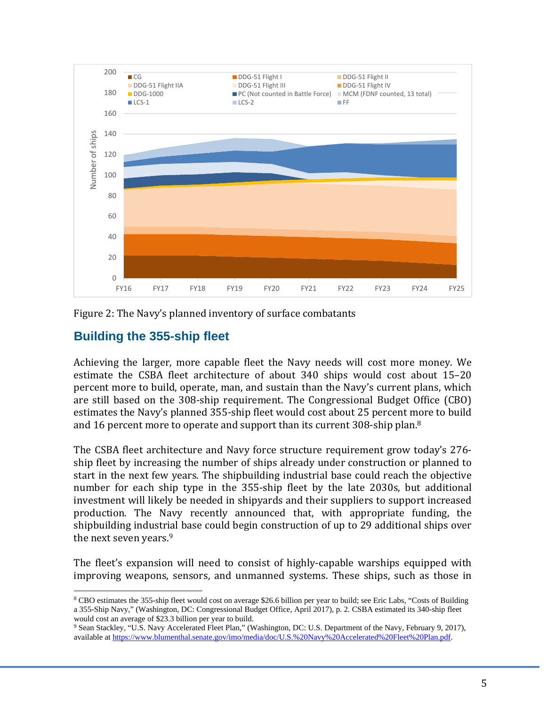

Figure 2: The Navy's planned inventory of surface combatants

### **Building the 355-ship fleet**

 

Achieving the larger, more capable fleet the Navy needs will cost more money. We estimate the CSBA fleet architecture of about  $340$  ships would cost about  $15-20$ percent more to build, operate, man, and sustain than the Navy's current plans, which are still based on the 308-ship requirement. The Congressional Budget Office (CBO) estimates the Navy's planned 355-ship fleet would cost about 25 percent more to build and 16 percent more to operate and support than its current  $308$ -ship plan.<sup>8</sup>

The CSBA fleet architecture and Navy force structure requirement grow today's 276– ship fleet by increasing the number of ships already under construction or planned to start in the next few years. The shipbuilding industrial base could reach the objective number for each ship type in the 355-ship fleet by the late 2030s, but additional investment will likely be needed in shipyards and their suppliers to support increased production. The Navy recently announced that, with appropriate funding, the shipbuilding industrial base could begin construction of up to 29 additional ships over the next seven years.<sup>9</sup>

The fleet's expansion will need to consist of highly-capable warships equipped with improving weapons, sensors, and unmanned systems. These ships, such as those in

<sup>8</sup> CBO estimates the 355-ship fleet would cost on average \$26.6 billion per year to build; see Eric Labs, "Costs of Building a 355-Ship Navy," (Washington, DC: Congressional Budget Office, April 2017), p. 2. CSBA estimated its 340-ship fleet would cost an average of \$23.3 billion per year to build.

<sup>9</sup> Sean Stackley, "U.S. Navy Accelerated Fleet Plan," (Washington, DC: U.S. Department of the Navy, February 9, 2017), available at https://www.blumenthal.senate.gov/imo/media/doc/U.S.%20Navy%20Accelerated%20Fleet%20Plan.pdf.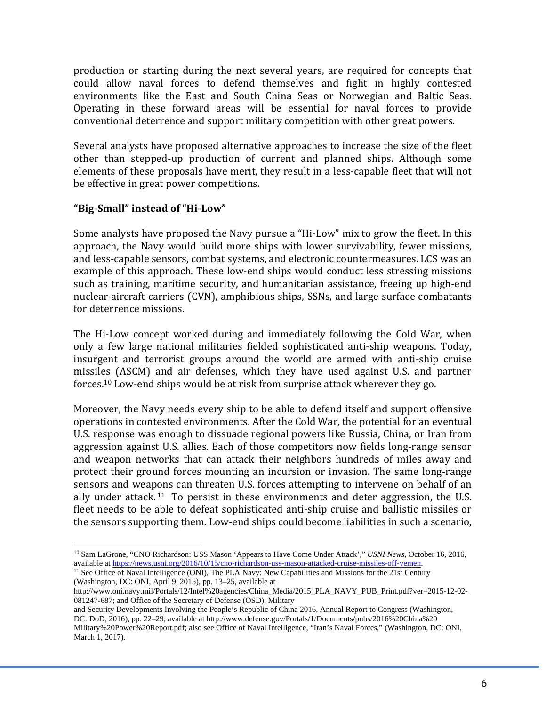production or starting during the next several years, are required for concepts that could allow naval forces to defend themselves and fight in highly contested environments like the East and South China Seas or Norwegian and Baltic Seas. Operating in these forward areas will be essential for naval forces to provide conventional deterrence and support military competition with other great powers.

Several analysts have proposed alternative approaches to increase the size of the fleet other than stepped-up production of current and planned ships. Although some elements of these proposals have merit, they result in a less-capable fleet that will not be effective in great power competitions.

#### **"Big‐Small" instead of "Hi‐Low"**

 

Some analysts have proposed the Navy pursue a "Hi-Low" mix to grow the fleet. In this approach, the Navy would build more ships with lower survivability, fewer missions, and less-capable sensors, combat systems, and electronic countermeasures. LCS was an example of this approach. These low-end ships would conduct less stressing missions such as training, maritime security, and humanitarian assistance, freeing up high-end nuclear aircraft carriers (CVN), amphibious ships, SSNs, and large surface combatants for deterrence missions.

The Hi-Low concept worked during and immediately following the Cold War, when only a few large national militaries fielded sophisticated anti-ship weapons. Today, insurgent and terrorist groups around the world are armed with anti-ship cruise missiles (ASCM) and air defenses, which they have used against U.S. and partner forces.<sup>10</sup> Low-end ships would be at risk from surprise attack wherever they go.

Moreover, the Navy needs every ship to be able to defend itself and support offensive operations in contested environments. After the Cold War, the potential for an eventual U.S. response was enough to dissuade regional powers like Russia, China, or Iran from aggression against U.S. allies. Each of those competitors now fields long-range sensor and weapon networks that can attack their neighbors hundreds of miles away and protect their ground forces mounting an incursion or invasion. The same long-range sensors and weapons can threaten U.S. forces attempting to intervene on behalf of an ally under attack.<sup>11</sup> To persist in these environments and deter aggression, the U.S. fleet needs to be able to defeat sophisticated anti-ship cruise and ballistic missiles or the sensors supporting them. Low-end ships could become liabilities in such a scenario,

<sup>&</sup>lt;sup>10</sup> Sam LaGrone, "CNO Richardson: USS Mason 'Appears to Have Come Under Attack'," *USNI News*, October 16, 2016, available at https://news.usni.org/2016/10/15/cno-richardson-uss-mason-attacked-cruise-missiles-off-yemen.

<sup>&</sup>lt;sup>11</sup> See Office of Naval Intelligence (ONI), The PLA Navy: New Capabilities and Missions for the 21st Century (Washington, DC: ONI, April 9, 2015), pp. 13–25, available at

http://www.oni.navy.mil/Portals/12/Intel%20agencies/China\_Media/2015\_PLA\_NAVY\_PUB\_Print.pdf?ver=2015-12-02- 081247-687; and Office of the Secretary of Defense (OSD), Military

and Security Developments Involving the People's Republic of China 2016, Annual Report to Congress (Washington, DC: DoD, 2016), pp. 22–29, available at http://www.defense.gov/Portals/1/Documents/pubs/2016%20China%20 Military%20Power%20Report.pdf; also see Office of Naval Intelligence, "Iran's Naval Forces," (Washington, DC: ONI, March 1, 2017).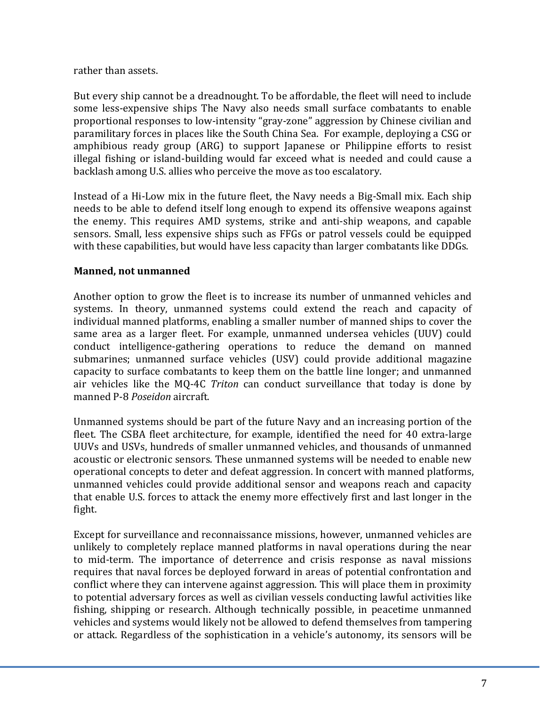#### rather than assets.

But every ship cannot be a dreadnought. To be affordable, the fleet will need to include some less-expensive ships The Navy also needs small surface combatants to enable proportional responses to low-intensity "gray-zone" aggression by Chinese civilian and paramilitary forces in places like the South China Sea. For example, deploying a CSG or amphibious ready group (ARG) to support Japanese or Philippine efforts to resist illegal fishing or island-building would far exceed what is needed and could cause a backlash among U.S. allies who perceive the move as too escalatory.

Instead of a Hi-Low mix in the future fleet, the Navy needs a Big-Small mix. Each ship needs to be able to defend itself long enough to expend its offensive weapons against the enemy. This requires AMD systems, strike and anti-ship weapons, and capable sensors. Small, less expensive ships such as FFGs or patrol vessels could be equipped with these capabilities, but would have less capacity than larger combatants like DDGs.

#### **Manned, not unmanned**

Another option to grow the fleet is to increase its number of unmanned vehicles and systems. In theory, unmanned systems could extend the reach and capacity of individual manned platforms, enabling a smaller number of manned ships to cover the same area as a larger fleet. For example, unmanned undersea vehicles (UUV) could conduct intelligence-gathering operations to reduce the demand on manned submarines; unmanned surface vehicles (USV) could provide additional magazine capacity to surface combatants to keep them on the battle line longer; and unmanned air vehicles like the MQ-4C *Triton* can conduct surveillance that today is done by manned P‐8 *Poseidon* aircraft. 

Unmanned systems should be part of the future Navy and an increasing portion of the fleet. The CSBA fleet architecture, for example, identified the need for 40 extra-large UUVs and USVs, hundreds of smaller unmanned vehicles, and thousands of unmanned acoustic or electronic sensors. These unmanned systems will be needed to enable new operational concepts to deter and defeat aggression. In concert with manned platforms, unmanned vehicles could provide additional sensor and weapons reach and capacity that enable U.S. forces to attack the enemy more effectively first and last longer in the fight. 

Except for surveillance and reconnaissance missions, however, unmanned vehicles are unlikely to completely replace manned platforms in naval operations during the near to mid-term. The importance of deterrence and crisis response as naval missions requires that naval forces be deployed forward in areas of potential confrontation and conflict where they can intervene against aggression. This will place them in proximity to potential adversary forces as well as civilian vessels conducting lawful activities like fishing, shipping or research. Although technically possible, in peacetime unmanned vehicles and systems would likely not be allowed to defend themselves from tampering or attack. Regardless of the sophistication in a vehicle's autonomy, its sensors will be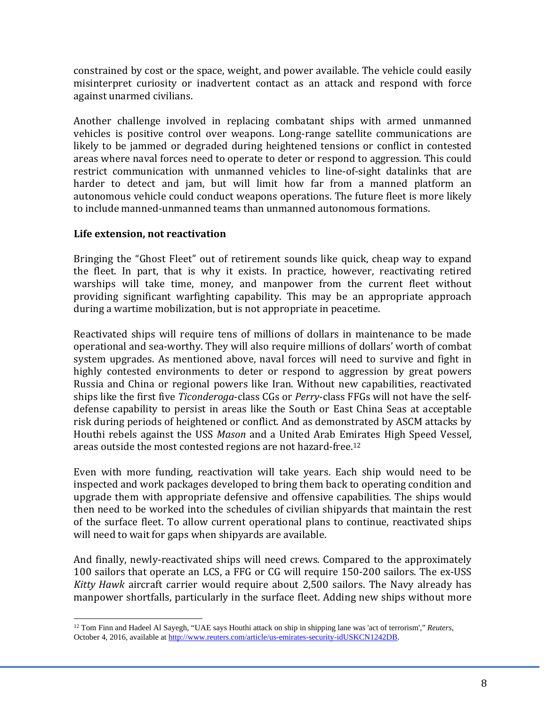constrained by cost or the space, weight, and power available. The vehicle could easily misinterpret curiosity or inadvertent contact as an attack and respond with force against unarmed civilians.

Another challenge involved in replacing combatant ships with armed unmanned vehicles is positive control over weapons. Long-range satellite communications are likely to be jammed or degraded during heightened tensions or conflict in contested areas where naval forces need to operate to deter or respond to aggression. This could restrict communication with unmanned vehicles to line-of-sight datalinks that are harder to detect and jam, but will limit how far from a manned platform an autonomous vehicle could conduct weapons operations. The future fleet is more likely to include manned-unmanned teams than unmanned autonomous formations.

#### **Life extension, not reactivation**

 

Bringing the "Ghost Fleet" out of retirement sounds like quick, cheap way to expand the fleet. In part, that is why it exists. In practice, however, reactivating retired warships will take time, money, and manpower from the current fleet without providing significant warfighting capability. This may be an appropriate approach during a wartime mobilization, but is not appropriate in peacetime.

Reactivated ships will require tens of millions of dollars in maintenance to be made operational and sea-worthy. They will also require millions of dollars' worth of combat system upgrades. As mentioned above, naval forces will need to survive and fight in highly contested environments to deter or respond to aggression by great powers Russia and China or regional powers like Iran. Without new capabilities, reactivated ships like the first five *Ticonderoga*-class CGs or *Perry*-class FFGs will not have the selfdefense capability to persist in areas like the South or East China Seas at acceptable risk during periods of heightened or conflict. And as demonstrated by ASCM attacks by Houthi rebels against the USS *Mason* and a United Arab Emirates High Speed Vessel, areas outside the most contested regions are not hazard-free.<sup>12</sup>

Even with more funding, reactivation will take years. Each ship would need to be inspected and work packages developed to bring them back to operating condition and upgrade them with appropriate defensive and offensive capabilities. The ships would then need to be worked into the schedules of civilian shipyards that maintain the rest of the surface fleet. To allow current operational plans to continue, reactivated ships will need to wait for gaps when shipyards are available.

And finally, newly-reactivated ships will need crews. Compared to the approximately 100 sailors that operate an LCS, a FFG or CG will require 150-200 sailors. The ex-USS *Kitty Hawk* aircraft carrier would require about 2,500 sailors. The Navy already has manpower shortfalls, particularly in the surface fleet. Adding new ships without more

<sup>12</sup> Tom Finn and Hadeel Al Sayegh, "UAE says Houthi attack on ship in shipping lane was 'act of terrorism'," *Reuters*, October 4, 2016, available at http://www.reuters.com/article/us-emirates-security-idUSKCN1242DB.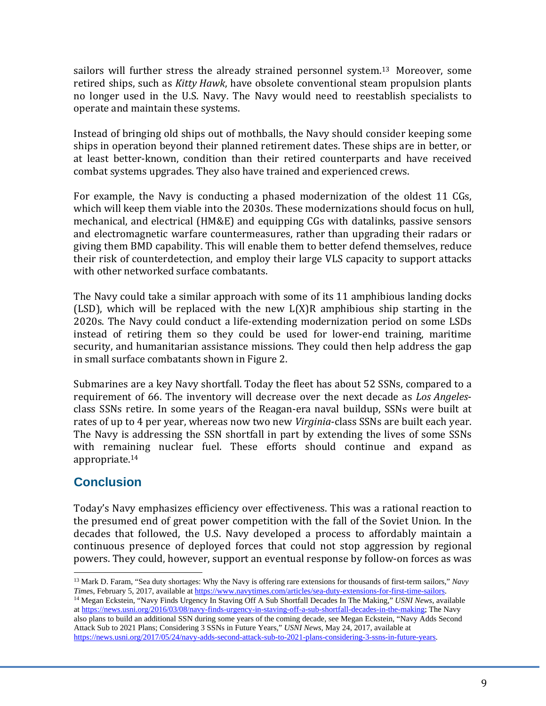sailors will further stress the already strained personnel system.<sup>13</sup> Moreover, some retired ships, such as *Kitty Hawk*, have obsolete conventional steam propulsion plants no longer used in the U.S. Navy. The Navy would need to reestablish specialists to operate and maintain these systems.

Instead of bringing old ships out of mothballs, the Navy should consider keeping some ships in operation beyond their planned retirement dates. These ships are in better, or at least better-known, condition than their retired counterparts and have received combat systems upgrades. They also have trained and experienced crews.

For example, the Navy is conducting a phased modernization of the oldest 11 CGs, which will keep them viable into the 2030s. These modernizations should focus on hull, mechanical, and electrical (HM&E) and equipping CGs with datalinks, passive sensors and electromagnetic warfare countermeasures, rather than upgrading their radars or giving them BMD capability. This will enable them to better defend themselves, reduce their risk of counterdetection, and employ their large VLS capacity to support attacks with other networked surface combatants.

The Navy could take a similar approach with some of its 11 amphibious landing docks (LSD), which will be replaced with the new  $L(X)R$  amphibious ship starting in the 2020s. The Navy could conduct a life-extending modernization period on some LSDs instead of retiring them so they could be used for lower-end training, maritime security, and humanitarian assistance missions. They could then help address the gap in small surface combatants shown in Figure 2.

Submarines are a key Navy shortfall. Today the fleet has about 52 SSNs, compared to a requirement of 66. The inventory will decrease over the next decade as *Los Angeles*class SSNs retire. In some years of the Reagan-era naval buildup, SSNs were built at rates of up to 4 per year, whereas now two new *Virginia*-class SSNs are built each year. The Navy is addressing the SSN shortfall in part by extending the lives of some SSNs with remaining nuclear fuel. These efforts should continue and expand as appropriate.14

### **Conclusion**

Today's Navy emphasizes efficiency over effectiveness. This was a rational reaction to the presumed end of great power competition with the fall of the Soviet Union. In the decades that followed, the U.S. Navy developed a process to affordably maintain a continuous presence of deployed forces that could not stop aggression by regional powers. They could, however, support an eventual response by follow-on forces as was

 13 Mark D. Faram, "Sea duty shortages: Why the Navy is offering rare extensions for thousands of first-term sailors," *Navy*  Times, February 5, 2017, available at https://www.navytimes.com/articles/sea-duty-extensions-for-first-time-sailors.<br><sup>14</sup> Megan Eckstein, "Navy Finds Urgency In Staving Off A Sub Shortfall Decades In The Making," USNI News

at https://news.usni.org/2016/03/08/navy-finds-urgency-in-staving-off-a-sub-shortfall-decades-in-the-making; The Navy also plans to build an additional SSN during some years of the coming decade, see Megan Eckstein, "Navy Adds Second Attack Sub to 2021 Plans; Considering 3 SSNs in Future Years," *USNI News*, May 24, 2017, available at https://news.usni.org/2017/05/24/navy-adds-second-attack-sub-to-2021-plans-considering-3-ssns-in-future-years.